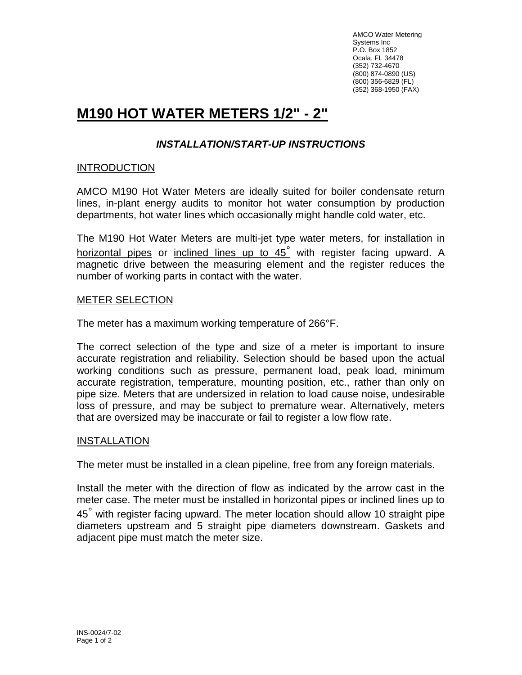AMCO Water Metering Systems Inc P.O. Box 1852 Ocala, FL 34478 (352) 732-4670 (800) 874-0890 (US) (800) 356-6829 (FL) (352) 368-1950 (FAX)

# **M190 HOT WATER METERS 1/2" - 2"**

# *INSTALLATION/START-UP INSTRUCTIONS*

# **INTRODUCTION**

AMCO M190 Hot Water Meters are ideally suited for boiler condensate return lines, in-plant energy audits to monitor hot water consumption by production departments, hot water lines which occasionally might handle cold water, etc.

The M190 Hot Water Meters are multi-jet type water meters, for installation in horizontal pipes or inclined lines up to 45° with register facing upward. A magnetic drive between the measuring element and the register reduces the number of working parts in contact with the water.

### METER SELECTION

The meter has a maximum working temperature of 266°F.

The correct selection of the type and size of a meter is important to insure accurate registration and reliability. Selection should be based upon the actual working conditions such as pressure, permanent load, peak load, minimum accurate registration, temperature, mounting position, etc., rather than only on pipe size. Meters that are undersized in relation to load cause noise, undesirable loss of pressure, and may be subject to premature wear. Alternatively, meters that are oversized may be inaccurate or fail to register a low flow rate.

# **INSTALLATION**

The meter must be installed in a clean pipeline, free from any foreign materials.

Install the meter with the direction of flow as indicated by the arrow cast in the meter case. The meter must be installed in horizontal pipes or inclined lines up to 45<sup>°</sup> with register facing upward. The meter location should allow 10 straight pipe diameters upstream and 5 straight pipe diameters downstream. Gaskets and adjacent pipe must match the meter size.